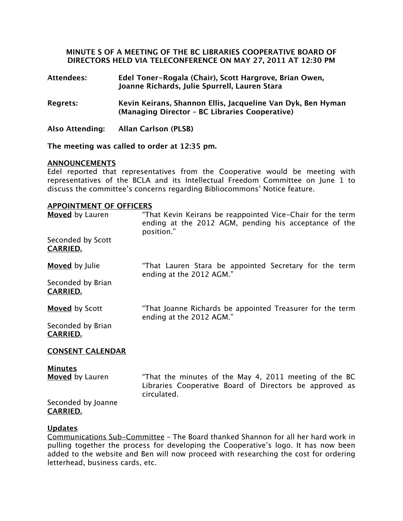# **MINUTE S OF A MEETING OF THE BC LIBRARIES COOPERATIVE BOARD OF DIRECTORS HELD VIA TELECONFERENCE ON MAY 27, 2011 AT 12:30 PM**

- **Attendees: Edel Toner-Rogala (Chair), Scott Hargrove, Brian Owen, Joanne Richards, Julie Spurrell, Lauren Stara**
- **Regrets: Kevin Keirans, Shannon Ellis, Jacqueline Van Dyk, Ben Hyman (Managing Director – BC Libraries Cooperative)**
- **Also Attending: Allan Carlson (PLSB)**

**The meeting was called to order at 12:35 pm.**

### **ANNOUNCEMENTS**

Edel reported that representatives from the Cooperative would be meeting with representatives of the BCLA and its Intellectual Freedom Committee on June 1 to discuss the committee's concerns regarding Bibliocommons' Notice feature.

#### **APPOINTMENT OF OFFICERS**

| Moved by Lauren                          | "That Kevin Keirans be reappointed Vice-Chair for the term<br>ending at the 2012 AGM, pending his acceptance of the<br>position." |
|------------------------------------------|-----------------------------------------------------------------------------------------------------------------------------------|
| Seconded by Scott<br><b>CARRIED.</b>     |                                                                                                                                   |
| <b>Moved</b> by Julie                    | "That Lauren Stara be appointed Secretary for the term<br>ending at the 2012 AGM."                                                |
| Seconded by Brian<br><b>CARRIED.</b>     |                                                                                                                                   |
| <b>Moved</b> by Scott                    | "That Joanne Richards be appointed Treasurer for the term<br>ending at the 2012 AGM."                                             |
| Seconded by Brian<br><b>CARRIED.</b>     |                                                                                                                                   |
| <b>CONSENT CALENDAR</b>                  |                                                                                                                                   |
| <b>Minutes</b><br><b>Moved</b> by Lauren | "That the minutes of the May 4, 2011 meeting of the BC<br>Libraries Cooperative Board of Directors be approved as                 |

Seconded by Joanne **CARRIED.**

### **Updates**

Communications Sub-Committee – The Board thanked Shannon for all her hard work in pulling together the process for developing the Cooperative's logo. It has now been added to the website and Ben will now proceed with researching the cost for ordering letterhead, business cards, etc.

circulated.